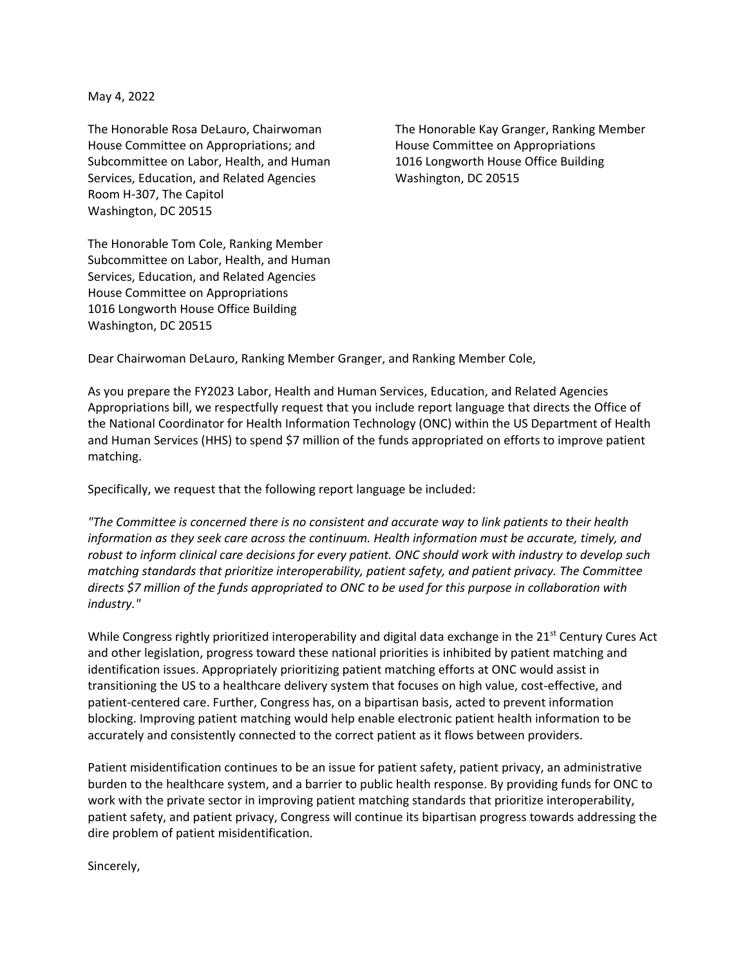May 4, 2022

House Committee on Appropriations; and The House Committee on Appropriations Subcommittee on Labor, Health, and Human 1016 Longworth House Office Building Services, Education, and Related Agencies Washington, DC 20515 Room H-307, The Capitol Washington, DC 20515

The Honorable Rosa DeLauro, Chairwoman The Honorable Kay Granger, Ranking Member

The Honorable Tom Cole, Ranking Member Subcommittee on Labor, Health, and Human Services, Education, and Related Agencies House Committee on Appropriations 1016 Longworth House Office Building Washington, DC 20515

Dear Chairwoman DeLauro, Ranking Member Granger, and Ranking Member Cole,

As you prepare the FY2023 Labor, Health and Human Services, Education, and Related Agencies Appropriations bill, we respectfully request that you include report language that directs the Office of the National Coordinator for Health Information Technology (ONC) within the US Department of Health and Human Services (HHS) to spend \$7 million of the funds appropriated on efforts to improve patient matching.

Specifically, we request that the following report language be included:

*"The Committee is concerned there is no consistent and accurate way to link patients to their health information as they seek care across the continuum. Health information must be accurate, timely, and robust to inform clinical care decisions for every patient. ONC should work with industry to develop such matching standards that prioritize interoperability, patient safety, and patient privacy. The Committee directs \$7 million of the funds appropriated to ONC to be used for this purpose in collaboration with industry."*

While Congress rightly prioritized interoperability and digital data exchange in the 21<sup>st</sup> Century Cures Act and other legislation, progress toward these national priorities is inhibited by patient matching and identification issues. Appropriately prioritizing patient matching efforts at ONC would assist in transitioning the US to a healthcare delivery system that focuses on high value, cost-effective, and patient-centered care. Further, Congress has, on a bipartisan basis, acted to prevent information blocking. Improving patient matching would help enable electronic patient health information to be accurately and consistently connected to the correct patient as it flows between providers.

Patient misidentification continues to be an issue for patient safety, patient privacy, an administrative burden to the healthcare system, and a barrier to public health response. By providing funds for ONC to work with the private sector in improving patient matching standards that prioritize interoperability, patient safety, and patient privacy, Congress will continue its bipartisan progress towards addressing the dire problem of patient misidentification.

Sincerely,